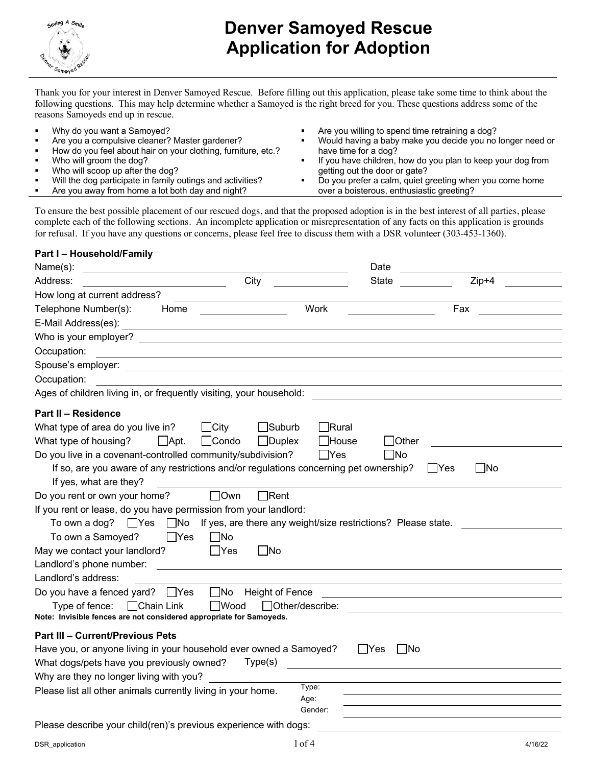

Thank you for your interest in Denver Samoyed Rescue. Before filling out this application, please take some time to think about the following questions. This may help determine whether a Samoyed is the right breed for you. These questions address some of the reasons Samoyeds end up in rescue.

§ Why do you want a Samoyed? Are you a compulsive cleaner? Master gardener? § How do you feel about hair on your clothing, furniture, etc.? § Who will groom the dog? § Who will scoop up after the dog? Will the dog participate in family outings and activities? ■ Are you away from home a lot both day and night? § Are you willing to spend time retraining a dog? § Would having a baby make you decide you no longer need or have time for a dog? If you have children, how do you plan to keep your dog from getting out the door or gate? ■ Do you prefer a calm, quiet greeting when you come home over a boisterous, enthusiastic greeting?

To ensure the best possible placement of our rescued dogs, and that the proposed adoption is in the best interest of all parties, please complete each of the following sections. An incomplete application or misrepresentation of any facts on this application is grounds for refusal. If you have any questions or concerns, please feel free to discuss them with a DSR volunteer (303-453-1360).

#### **Part I – Household/Family**

| Name(s):                                                                                                                                     | Date                         |
|----------------------------------------------------------------------------------------------------------------------------------------------|------------------------------|
| Address:<br>City                                                                                                                             | $Zip+4$<br><b>State</b>      |
| How long at current address?                                                                                                                 |                              |
| Telephone Number(s):<br>Home                                                                                                                 | Work<br>Fax                  |
| E-Mail Address(es):                                                                                                                          |                              |
| Who is your employer?<br><u> 1989 - Johann Stein, fransk politik (d. 1989)</u>                                                               |                              |
| Occupation:                                                                                                                                  |                              |
| Spouse's employer:                                                                                                                           |                              |
| Occupation:                                                                                                                                  |                              |
| Ages of children living in, or frequently visiting, your household:                                                                          |                              |
| <b>Part II - Residence</b>                                                                                                                   |                              |
| What type of area do you live in?<br>$\Box$ City<br>$\Box$ Suburb                                                                            | $\Box$ Rural                 |
| What type of housing?<br>$\Box$ Apt.<br>$\Box$ Condo<br>$\Box$ Duplex                                                                        | $\Box$ House<br><b>Other</b> |
| Do you live in a covenant-controlled community/subdivision?                                                                                  | $\Box$ Yes<br>$\Box$ No      |
| If so, are you aware of any restrictions and/or regulations concerning pet ownership?                                                        | $\Box$ No<br>l lYes          |
| If yes, what are they?                                                                                                                       |                              |
| Do you rent or own your home?<br>$\square$ Own<br>$\Box$ Rent                                                                                |                              |
| If you rent or lease, do you have permission from your landlord:                                                                             |                              |
| To own a dog? $\Box$ Yes $\Box$ No If yes, are there any weight/size restrictions? Please state.                                             |                              |
| To own a Samoyed?<br>$\Box$ Yes<br>$\Box$ No                                                                                                 |                              |
| May we contact your landlord?<br>$\Box$ Yes<br>$\Box$ No                                                                                     |                              |
| Landlord's phone number:                                                                                                                     |                              |
| Landlord's address:                                                                                                                          |                              |
| Do you have a fenced yard? □ Yes<br><b>Height of Fence</b><br>$\Box$ No                                                                      |                              |
| $\Box$ Chain Link<br>$\Box$ Wood<br>Other/describe:<br>Type of fence:<br>Note: Invisible fences are not considered appropriate for Samoyeds. |                              |
|                                                                                                                                              |                              |
| <b>Part III - Current/Previous Pets</b>                                                                                                      |                              |
| Have you, or anyone living in your household ever owned a Samoyed?                                                                           | l lYes<br>- INo              |
| What dogs/pets have you previously owned?<br>Type(s)                                                                                         |                              |
| Why are they no longer living with you?                                                                                                      | Type:                        |
| Please list all other animals currently living in your home.                                                                                 | Age:                         |
|                                                                                                                                              | Gender:                      |
| Please describe your child(ren)'s previous experience with dogs:                                                                             |                              |
|                                                                                                                                              |                              |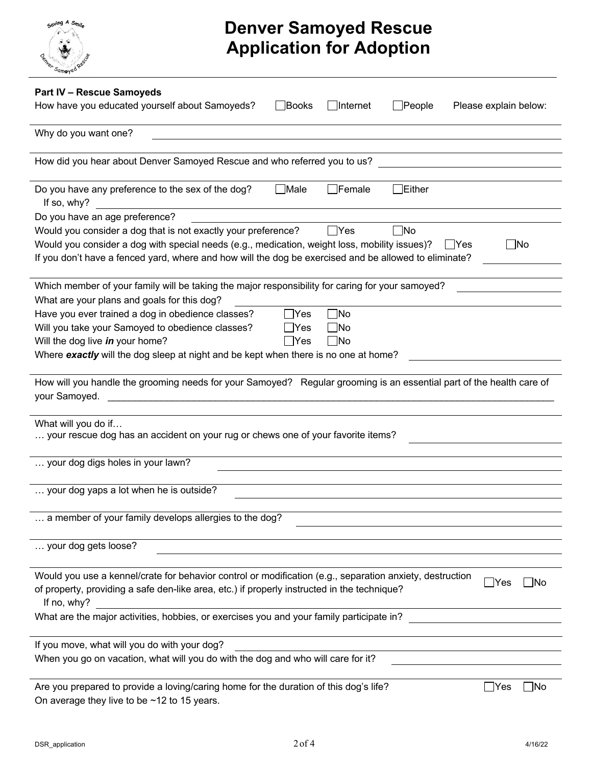

| <b>Part IV - Rescue Samoyeds</b><br>How have you educated yourself about Samoyeds?<br>$\Box$ Internet<br>Books<br><b>People</b><br>Please explain below:                                                                                                                                                                   |
|----------------------------------------------------------------------------------------------------------------------------------------------------------------------------------------------------------------------------------------------------------------------------------------------------------------------------|
| Why do you want one?                                                                                                                                                                                                                                                                                                       |
|                                                                                                                                                                                                                                                                                                                            |
| How did you hear about Denver Samoyed Rescue and who referred you to us?                                                                                                                                                                                                                                                   |
| $\Box$ Male<br>$\Box$ Female<br>Either<br>Do you have any preference to the sex of the dog?<br>If so, why?                                                                                                                                                                                                                 |
| Do you have an age preference?                                                                                                                                                                                                                                                                                             |
| Would you consider a dog that is not exactly your preference?<br>$\Box$ Yes<br>$\Box$ No<br>Would you consider a dog with special needs (e.g., medication, weight loss, mobility issues)?<br>l IYes<br><b>INo</b><br>If you don't have a fenced yard, where and how will the dog be exercised and be allowed to eliminate? |
| Which member of your family will be taking the major responsibility for caring for your samoyed?                                                                                                                                                                                                                           |
| What are your plans and goals for this dog?                                                                                                                                                                                                                                                                                |
| $\square$ No<br>Have you ever trained a dog in obedience classes?<br>$\exists$ Yes<br>Will you take your Samoyed to obedience classes?<br>$\Box$ No<br>_∣Yes<br>Will the dog live in your home?<br>$\Box$ No<br>$\sqcup$ Yes<br>Where exactly will the dog sleep at night and be kept when there is no one at home?        |
|                                                                                                                                                                                                                                                                                                                            |
| How will you handle the grooming needs for your Samoyed? Regular grooming is an essential part of the health care of<br>your Samoyed.                                                                                                                                                                                      |
| What will you do if<br>your rescue dog has an accident on your rug or chews one of your favorite items?                                                                                                                                                                                                                    |
| your dog digs holes in your lawn?                                                                                                                                                                                                                                                                                          |
| your dog yaps a lot when he is outside?                                                                                                                                                                                                                                                                                    |
| a member of your family develops allergies to the dog?                                                                                                                                                                                                                                                                     |
| your dog gets loose?                                                                                                                                                                                                                                                                                                       |
| Would you use a kennel/crate for behavior control or modification (e.g., separation anxiety, destruction<br> Yes<br>-INo<br>of property, providing a safe den-like area, etc.) if properly instructed in the technique?<br>If no, why?                                                                                     |
| What are the major activities, hobbies, or exercises you and your family participate in?                                                                                                                                                                                                                                   |
| If you move, what will you do with your dog?                                                                                                                                                                                                                                                                               |
| When you go on vacation, what will you do with the dog and who will care for it?                                                                                                                                                                                                                                           |
| Are you prepared to provide a loving/caring home for the duration of this dog's life?<br>$\Box$ Yes<br>∣ No<br>On average they live to be $~12$ to 15 years.                                                                                                                                                               |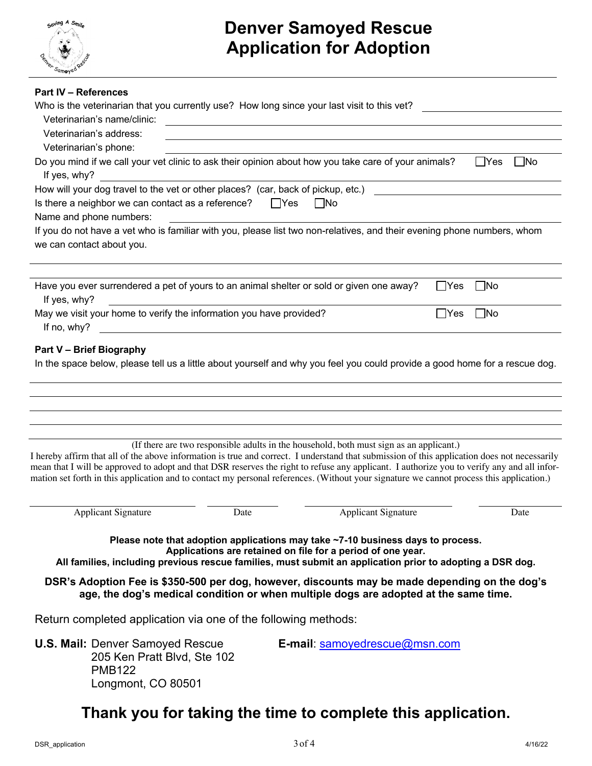

| <b>Part IV - References</b>                                                                                                                                                                                                                                                                                                                                                                                                             |                                                                                                                                                |             |           |       |
|-----------------------------------------------------------------------------------------------------------------------------------------------------------------------------------------------------------------------------------------------------------------------------------------------------------------------------------------------------------------------------------------------------------------------------------------|------------------------------------------------------------------------------------------------------------------------------------------------|-------------|-----------|-------|
| Who is the veterinarian that you currently use? How long since your last visit to this vet?                                                                                                                                                                                                                                                                                                                                             |                                                                                                                                                |             |           |       |
| Veterinarian's name/clinic:                                                                                                                                                                                                                                                                                                                                                                                                             | <u>and the state of the state of the state of the state of the state of the state of the state of the state of th</u>                          |             |           |       |
| Veterinarian's address:                                                                                                                                                                                                                                                                                                                                                                                                                 |                                                                                                                                                |             |           |       |
| Veterinarian's phone:                                                                                                                                                                                                                                                                                                                                                                                                                   |                                                                                                                                                |             |           |       |
| Do you mind if we call your vet clinic to ask their opinion about how you take care of your animals?                                                                                                                                                                                                                                                                                                                                    |                                                                                                                                                |             | - IYes    | __ No |
| If yes, why?                                                                                                                                                                                                                                                                                                                                                                                                                            |                                                                                                                                                |             |           |       |
| How will your dog travel to the vet or other places? (car, back of pickup, etc.)                                                                                                                                                                                                                                                                                                                                                        |                                                                                                                                                |             |           |       |
| Is there a neighbor we can contact as a reference?                                                                                                                                                                                                                                                                                                                                                                                      | $\Box$ Yes<br>$\Box$ No                                                                                                                        |             |           |       |
| Name and phone numbers:                                                                                                                                                                                                                                                                                                                                                                                                                 |                                                                                                                                                |             |           |       |
| If you do not have a vet who is familiar with you, please list two non-relatives, and their evening phone numbers, whom                                                                                                                                                                                                                                                                                                                 |                                                                                                                                                |             |           |       |
| we can contact about you.                                                                                                                                                                                                                                                                                                                                                                                                               |                                                                                                                                                |             |           |       |
|                                                                                                                                                                                                                                                                                                                                                                                                                                         |                                                                                                                                                |             |           |       |
| Have you ever surrendered a pet of yours to an animal shelter or sold or given one away?                                                                                                                                                                                                                                                                                                                                                |                                                                                                                                                | $\gamma$ es | $\Box$ No |       |
| If yes, why?                                                                                                                                                                                                                                                                                                                                                                                                                            |                                                                                                                                                |             |           |       |
| May we visit your home to verify the information you have provided?                                                                                                                                                                                                                                                                                                                                                                     |                                                                                                                                                | ∣ Yes       | $\Box$ No |       |
| If no, why?                                                                                                                                                                                                                                                                                                                                                                                                                             |                                                                                                                                                |             |           |       |
| I hereby affirm that all of the above information is true and correct. I understand that submission of this application does not necessarily<br>mean that I will be approved to adopt and that DSR reserves the right to refuse any applicant. I authorize you to verify any and all infor-<br>mation set forth in this application and to contact my personal references. (Without your signature we cannot process this application.) | (If there are two responsible adults in the household, both must sign as an applicant.)                                                        |             |           |       |
| <b>Applicant Signature</b><br>Date                                                                                                                                                                                                                                                                                                                                                                                                      | <b>Applicant Signature</b>                                                                                                                     |             |           | Date  |
| All families, including previous rescue families, must submit an application prior to adopting a DSR dog.<br>DSR's Adoption Fee is \$350-500 per dog, however, discounts may be made depending on the dog's                                                                                                                                                                                                                             | Please note that adoption applications may take ~7-10 business days to process.<br>Applications are retained on file for a period of one year. |             |           |       |
| age, the dog's medical condition or when multiple dogs are adopted at the same time.<br>Return completed application via one of the following methods:                                                                                                                                                                                                                                                                                  |                                                                                                                                                |             |           |       |
|                                                                                                                                                                                                                                                                                                                                                                                                                                         |                                                                                                                                                |             |           |       |
| <b>U.S. Mail: Denver Samoyed Rescue</b><br>205 Ken Pratt Blvd, Ste 102<br><b>PMB122</b><br>Longmont, CO 80501                                                                                                                                                                                                                                                                                                                           | <b>E-mail:</b> samoyedrescue@msn.com                                                                                                           |             |           |       |

#### **Thank you for taking the time to complete this application.**